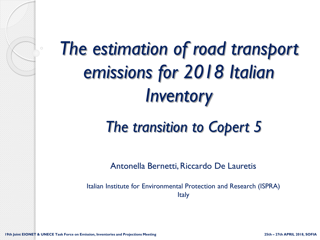

# *The estimation of road transport emissions for 2018 Italian Inventory*

# *The transition to Copert 5*

Antonella Bernetti, Riccardo De Lauretis

Italian Institute for Environmental Protection and Research (ISPRA) Italy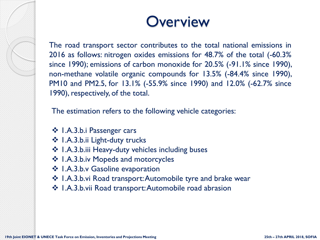#### **Overview**

The road transport sector contributes to the total national emissions in 2016 as follows: nitrogen oxides emissions for 48.7% of the total (-60.3% since 1990); emissions of carbon monoxide for 20.5% (-91.1% since 1990), non-methane volatile organic compounds for 13.5% (-84.4% since 1990), PM10 and PM2.5, for 13.1% (-55.9% since 1990) and 12.0% (-62.7% since 1990), respectively, of the total.

The estimation refers to the following vehicle categories:

- ❖ 1.A.3.b.i Passenger cars
- ❖ 1.A.3.b.ii Light-duty trucks
- ❖ 1.A.3.b.iii Heavy-duty vehicles including buses
- ❖ 1.A.3.b.iv Mopeds and motorcycles
- ❖ 1.A.3.b.v Gasoline evaporation
- ❖ 1.A.3.b.vi Road transport: Automobile tyre and brake wear
- ❖ 1.A.3.b.vii Road transport: Automobile road abrasion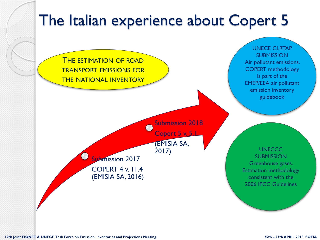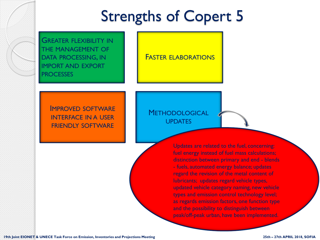# Strengths of Copert 5

GREATER FLEXIBILITY IN THE MANAGEMENT OF DATA PROCESSING, IN IMPORT AND EXPORT **PROCESSES** 

FASTER ELABORATIONS

IMPROVED SOFTWARE INTERFACE IN A USER FRIENDLY SOFTWARE

#### **METHODOLOGICAL UPDATES**

Updates are related to the fuel, concerning: fuel energy instead of fuel mass calculations; distinction between primary and end - blends - fuels, automated energy balance; updates regard the revision of the metal content of lubricants; updates regard vehicle types, updated vehicle category naming, new vehicle types and emission control technology level; as regards emission factors, one function type and the possibility to distinguish between peak/off-peak urban, have been implemented.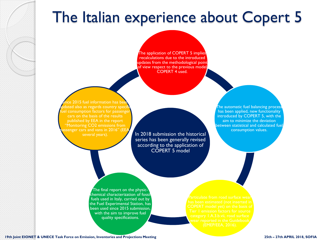## The Italian experience about Copert 5

The application of COPERT 5 implies recalculations due to the introduced updates from the methodological point of view respect to the previous model COPERT 4 used.

ce 2015 fuel information has be dated also as regards country specif lel consumption factors for passenge cars on the basis of the results published by EEA in the report "Monitoring CO2 emissions from ssenger cars and vans in 2016" (EE $\prime$ several years).

In 2018 submission the historical series has been generally revised according to the application of COPERT 5 model

The automatic fuel balancing process has been applied, new functionality introduced by COPERT 5, with the aim to minimize the deviation between statistical and calculated fuel consumption values.

The final report on the physicchemical characterization of fossil fuels used in Italy, carried out by the Fuel Experimental Station, has been used since 2015 submission, with the aim to improve fuel quality specifications.

**19th Joint EIONET & UNECE Task Force on Emission, Inventories and Projections Meeting 25th – 27th APRIL 2018, SOFIA**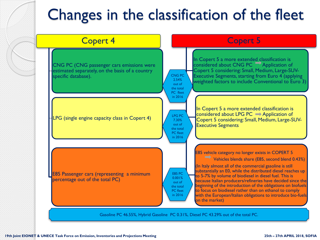# Changes in the classification of the fleet

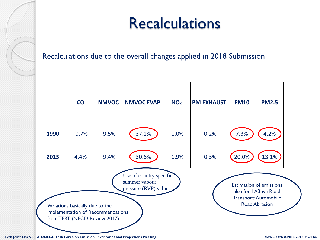# **Recalculations**

Recalculations due to the overall changes applied in 2018 Submission



**19th Joint EIONET & UNECE Task Force on Emission, Inventories and Projections Meeting 25th – 27th APRIL 2018, SOFIA**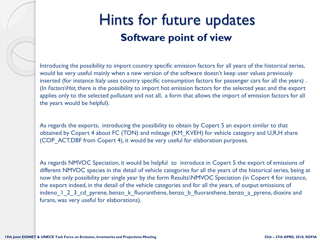

### Hints for future updates **Software point of view**

Introducing the possibility to import country specific emission factors for all years of the historical series, would be very useful mainly when a new version of the software doesn't keep user values previously inserted (for instance Italy uses country specific consumption factors for passenger cars for all the years) . (In *Factors\Hot,* there is the possibility to import hot emission factors for the selected year, and the export applies only to the selected pollutant and not all, a form that allows the import of emission factors for all the years would be helpful).

As regards the exports, introducing the possibility to obtain by Copert 5 an export similar to that obtained by Copert 4 about FC (TON) and mileage (KM\_KVEH) for vehicle category and U,R,H share (COP\_ACT.DBF from Copert 4), it would be very useful for elaboration purposes.

As regards NMVOC Speciation, it would be helpful to introduce in Copert 5 the export of emissions of different NMVOC species in the detail of vehicle categories for all the years of the historical series, being at now the only possibility per single year by the form Results\NMVOC Speciation (in Copert 4 for instance, the export indeed, in the detail of the vehicle categories and for all the years, of output emissions of indeno 1 2 3 cd pyrene, benzo k fluoranthene, benzo b fluoranthene, benzo a pyrene, dioxins and furans, was very useful for elaborations).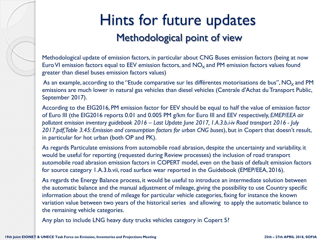### Hints for future updates Methodological point of view

Methodological update of emission factors, in particular about CNG Buses emission factors (being at now Euro VI emission factors equal to EEV emission factors, and  $NO<sub>x</sub>$  and PM emission factors values found greater than diesel buses emission factors values)

As an example, according to the "Etude comparative sur les différentes motorisations de bus",  $NO<sub>x</sub>$  and PM emissions are much lower in natural gas vehicles than diesel vehicles (Centrale d'Achat du Transport Public, September 2017).

According to the EIG2016, PM emission factor for EEV should be equal to half the value of emission factor of Euro III (the EIG2016 reports 0.01 and 0.005 PM g/km for Euro III and EEV respectively, *EMEP/EEA air pollutant emission inventory guidebook 2016 – Last Update June 2017, 1.A.3.b.i-iv Road transport 2016 - July 2017.pdf, Table 3.45: Emission and consumption factors for urban CNG buses*), but in Copert that doesn't result, in particular for hot urban (both OP and PK).

As regards Particulate emissions from automobile road abrasion, despite the uncertainty and variability, it would be useful for reporting (requested during Review processes) the inclusion of road transport automobile road abrasion emission factors in COPERT model, even on the basis of default emission factors for source category 1.A.3.b.vii, road surface wear reported in the Guidebook (EMEP/EEA, 2016).

As regards the Energy Balance process, it would be useful to introduce an intermediate solution between the automatic balance and the manual adjustment of mileage, giving the possibility to use Country specific information about the trend of mileage for particular vehicle categories, fixing for instance the known variation value between two years of the historical series and allowing to apply the automatic balance to the remaining vehicle categories.

Any plan to include LNG heavy duty trucks vehicles category in Copert 5?